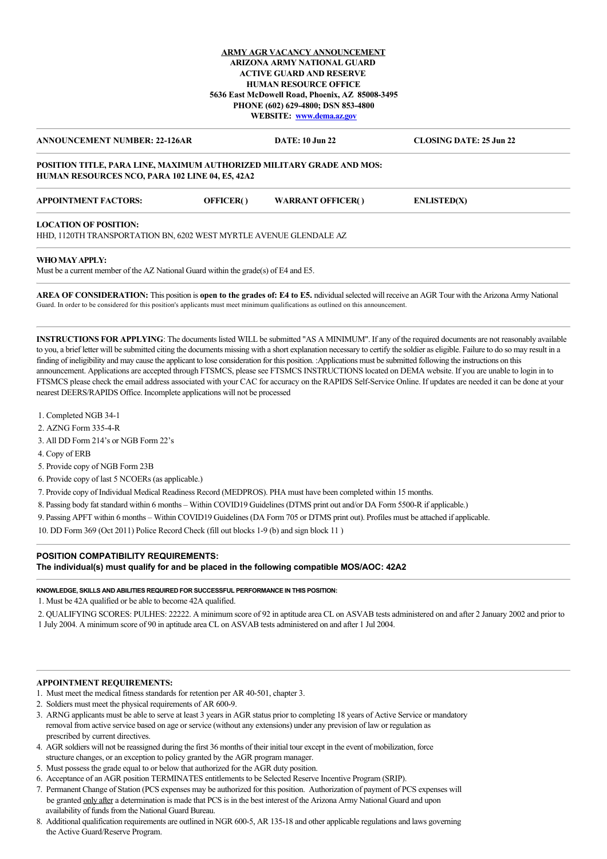## **ARMY AGR VACANCY ANNOUNCEMENT ARIZONA ARMY NATIONAL GUARD ACTIVE GUARD AND RESERVE HUMAN RESOURCE OFFICE 5636 East McDowell Road, Phoenix, AZ 85008-3495 PHONE (602) 629-4800; DSN 853-4800 WEBSITE: [www.dema.az.gov](http://www.dema.az.gov/)**

| <b>ANNOUNCEMENT NUMBER: 22-126AR</b>                                                                                            | DATE: 10 Jun 22 | CLOSING DATE: 25 Jun 22 |
|---------------------------------------------------------------------------------------------------------------------------------|-----------------|-------------------------|
| <b>POSITION TITLE, PARA LINE, MAXIMUM AUTHORIZED MILITARY GRADE AND MOS:</b><br>HUMAN RESOURCES NCO, PARA 102 LINE 04, E5, 42A2 |                 |                         |

| <b>APPOINTMENT FACTORS:</b>                                        | OFFICER() | <b>WARRANT OFFICER()</b> | <b>ENLISTED(X)</b> |  |
|--------------------------------------------------------------------|-----------|--------------------------|--------------------|--|
| <b>LOCATION OF POSITION:</b>                                       |           |                          |                    |  |
| HHD. 1120TH TRANSPORTATION BN. 6202 WEST MYRTLE AVENUE GLENDALE AZ |           |                          |                    |  |

## **WHO MAY APPLY:**

Must be a current member of the AZ National Guard within the grade(s) of E4 and E5.

**AREA OF CONSIDERATION:** This position is **open to the grades of: E4 to E5.** ndividual selected will receive an AGR Tour with the Arizona Army National Guard. In order to be considered for this position's applicants must meet minimum qualifications as outlined on this announcement.

**INSTRUCTIONS FOR APPLYING**: The documents listed WILL be submitted "AS A MINIMUM". If any of the required documents are not reasonably available to you, a brief letter will be submitted citing the documents missing with a short explanation necessary to certify the soldier as eligible. Failure to do so may result in a finding of ineligibility and may cause the applicant to lose consideration for this position. Applications must be submitted following the instructions on this announcement. Applications are accepted through FTSMCS, please see FTSMCS INSTRUCTIONS located on DEMA website. If you are unable to login in to FTSMCS please check the email address associated with your CAC for accuracy on the RAPIDS Self-Service Online. If updates are needed it can be done at your nearest DEERS/RAPIDS Office. Incomplete applications will not be processed

- 1. Completed NGB 34-1
- 2. AZNG Form 335-4-R
- 3. All DD Form 214's or NGB Form 22's
- 4. Copy of ERB
- 5. Provide copy of NGB Form 23B
- 6. Provide copy of last 5 NCOERs (as applicable.)
- 7. Provide copy of Individual Medical Readiness Record (MEDPROS). PHA must have been completed within 15 months.
- 8. Passing body fat standard within 6 months Within COVID19 Guidelines (DTMS print out and/or DA Form 5500-R if applicable.)
- 9. Passing APFT within 6 months Within COVID19 Guidelines (DA Form 705 or DTMS print out). Profiles must be attached if applicable.
- 10. DD Form 369 (Oct 2011) Police Record Check (fill out blocks 1-9 (b) and sign block 11 )

# **POSITION COMPATIBILITY REQUIREMENTS:**

**The individual(s) must qualify for and be placed in the following compatible MOS/AOC: 42A2**

## **KNOWLEDGE, SKILLS AND ABILITIES REQUIRED FOR SUCCESSFUL PERFORMANCE IN THIS POSITION:**

1. Must be 42A qualified or be able to become 42A qualified.

2. QUALIFYING SCORES: PULHES: 22222. A minimum score of 92 in aptitude area CL on ASVAB tests administered on and after 2 January 2002 and prior to 1 July 2004. A minimum score of 90 in aptitude area CL on ASVAB tests administered on and after 1 Jul 2004.

# **APPOINTMENT REQUIREMENTS:**

- 1. Must meet the medical fitness standards for retention per AR 40-501, chapter 3.
- 2. Soldiers must meet the physical requirements of AR 600-9.
- 3. ARNG applicants must be able to serve at least 3 years in AGR status prior to completing 18 years of Active Service or mandatory removal from active service based on age or service (without any extensions) under any prevision of law or regulation as prescribed by current directives.
- 4. AGR soldiers will not be reassigned during the first 36 months of their initial tour except in the event of mobilization, force structure changes, or an exception to policy granted by the AGR program manager.
- 5. Must possess the grade equal to or below that authorized for the AGR duty position.
- 6. Acceptance of an AGR position TERMINATES entitlements to be Selected Reserve Incentive Program (SRIP).
- 7. Permanent Change of Station (PCS expenses may be authorized for this position. Authorization of payment of PCS expenses will be granted only after a determination is made that PCS is in the best interest of the Arizona Army National Guard and upon availability of funds from the National Guard Bureau.
- 8. Additional qualification requirements are outlined in NGR 600-5, AR 135-18 and other applicable regulations and laws governing the Active Guard/Reserve Program.